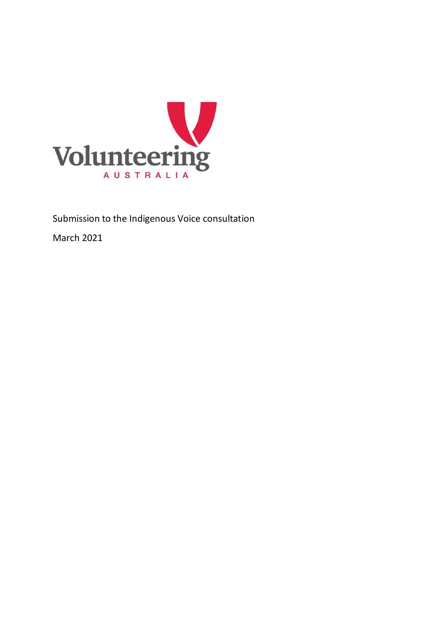

Submission to the Indigenous Voice consultation

March 2021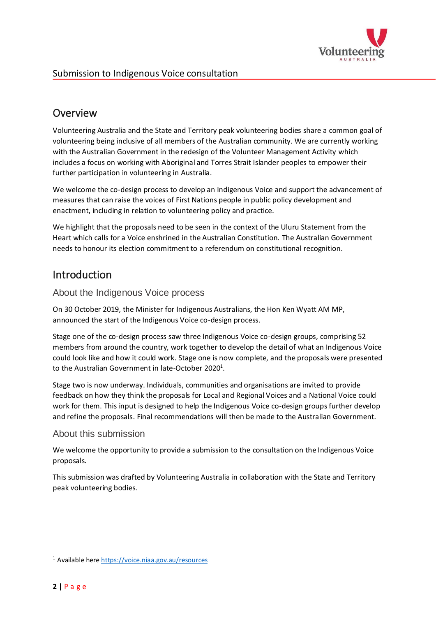

## Overview

Volunteering Australia and the State and Territory peak volunteering bodies share a common goal of volunteering being inclusive of all members of the Australian community. We are currently working with the Australian Government in the redesign of the Volunteer Management Activity which includes a focus on working with Aboriginal and Torres Strait Islander peoples to empower their further participation in volunteering in Australia.

We welcome the co-design process to develop an Indigenous Voice and support the advancement of measures that can raise the voices of First Nations people in public policy development and enactment, including in relation to volunteering policy and practice.

We highlight that the proposals need to be seen in the context of the Uluru Statement from the Heart which calls for a Voice enshrined in the Australian Constitution. The Australian Government needs to honour its election commitment to a referendum on constitutional recognition.

## Introduction

#### About the Indigenous Voice process

On 30 October 2019, the Minister for Indigenous Australians, the Hon Ken Wyatt AM MP, announced the start of the Indigenous Voice co-design process.

Stage one of the co-design process saw three Indigenous Voice co-design groups, comprising 52 members from around the country, work together to develop the detail of what an Indigenous Voice could look like and how it could work. Stage one is now complete, and the proposals were presented to the Australian Government in late-October 2020<sup>1</sup>.

Stage two is now underway. Individuals, communities and organisations are invited to provide feedback on how they think the proposals for Local and Regional Voices and a National Voice could work for them. This input is designed to help the Indigenous Voice co-design groups further develop and refine the proposals. Final recommendations will then be made to the Australian Government.

### About this submission

We welcome the opportunity to provide a submission to the consultation on the Indigenous Voice proposals.

This submission was drafted by Volunteering Australia in collaboration with the State and Territory peak volunteering bodies.

<sup>1</sup> Available here<https://voice.niaa.gov.au/resources>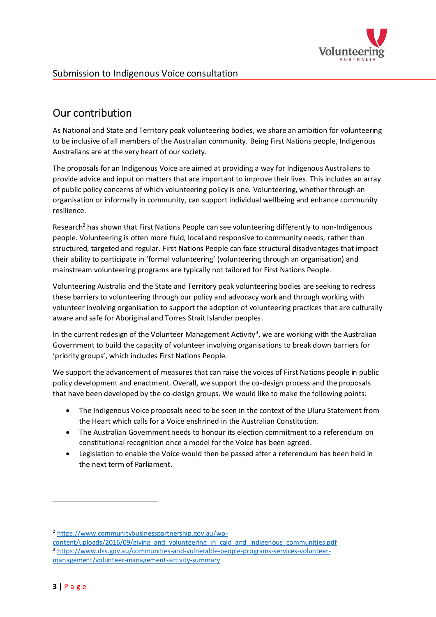

# Our contribution

As National and State and Territory peak volunteering bodies, we share an ambition for volunteering to be inclusive of all members of the Australian community. Being First Nations people, Indigenous Australians are at the very heart of our society.

The proposals for an Indigenous Voice are aimed at providing a way for Indigenous Australians to provide advice and input on matters that are important to improve their lives. This includes an array of public policy concerns of which volunteering policy is one. Volunteering, whether through an organisation or informally in community, can support individual wellbeing and enhance community resilience.

Research<sup>2</sup> has shown that First Nations People can see volunteering differently to non-Indigenous people. Volunteering is often more fluid, local and responsive to community needs, rather than structured, targeted and regular. First Nations People can face structural disadvantages that impact their ability to participate in 'formal volunteering' (volunteering through an organisation) and mainstream volunteering programs are typically not tailored for First Nations People.

Volunteering Australia and the State and Territory peak volunteering bodies are seeking to redress these barriers to volunteering through our policy and advocacy work and through working with volunteer involving organisation to support the adoption of volunteering practices that are culturally aware and safe for Aboriginal and Torres Strait Islander peoples.

In the current redesign of the Volunteer Management Activity<sup>3</sup>, we are working with the Australian Government to build the capacity of volunteer involving organisations to break down barriers for 'priority groups', which includes First Nations People.

We support the advancement of measures that can raise the voices of First Nations people in public policy development and enactment. Overall, we support the co-design process and the proposals that have been developed by the co-design groups. We would like to make the following points:

- The Indigenous Voice proposals need to be seen in the context of the Uluru Statement from the Heart which calls for a Voice enshrined in the Australian Constitution.
- The Australian Government needs to honour its election commitment to a referendum on constitutional recognition once a model for the Voice has been agreed.
- Legislation to enable the Voice would then be passed after a referendum has been held in the next term of Parliament.

<sup>2</sup> [https://www.communitybusinesspartnership.gov.au/wp-](https://www.communitybusinesspartnership.gov.au/wp-content/uploads/2016/09/giving_and_volunteering_in_cald_and_indigenous_communities.pdf)

[content/uploads/2016/09/giving\\_and\\_volunteering\\_in\\_cald\\_and\\_indigenous\\_communities.pdf](https://www.communitybusinesspartnership.gov.au/wp-content/uploads/2016/09/giving_and_volunteering_in_cald_and_indigenous_communities.pdf) <sup>3</sup> [https://www.dss.gov.au/communities-and-vulnerable-people-programs-services-volunteer](https://www.dss.gov.au/communities-and-vulnerable-people-programs-services-volunteer-management/volunteer-management-activity-summary)[management/volunteer-management-activity-summary](https://www.dss.gov.au/communities-and-vulnerable-people-programs-services-volunteer-management/volunteer-management-activity-summary)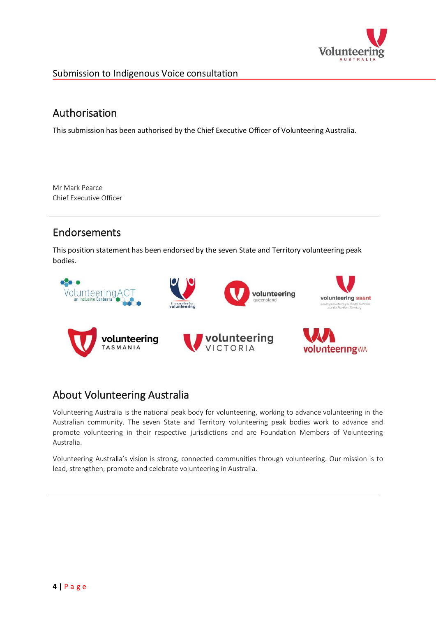

### Submission to Indigenous Voice consultation

### Authorisation

This submission has been authorised by the Chief Executive Officer of Volunteering Australia.

Mr Mark Pearce Chief Executive Officer

## Endorsements

This position statement has been endorsed by the seven State and Territory volunteering peak bodies.



## About Volunteering Australia

Volunteering Australia is the national peak body for volunteering, working to advance volunteering in the Australian community. The seven State and Territory volunteering peak bodies work to advance and promote volunteering in their respective jurisdictions and are Foundation Members of Volunteering Australia.

Volunteering Australia's vision is strong, connected communities through volunteering. Our mission is to lead, strengthen, promote and celebrate volunteering in Australia.